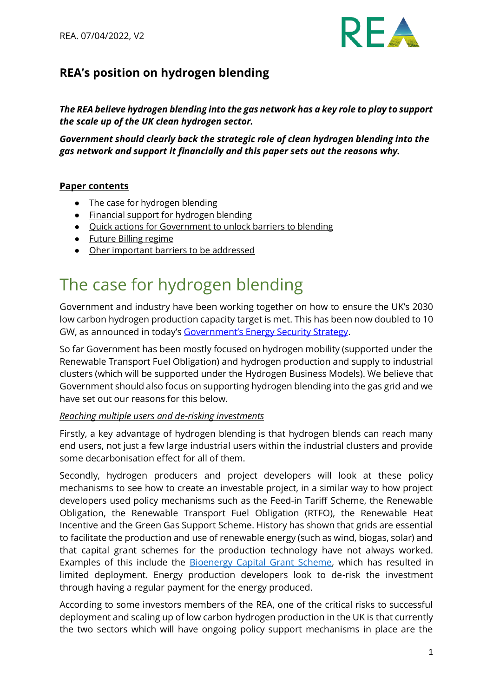

### **REA's position on hydrogen blending**

*The REA believe hydrogen blending into the gas network has a key role to play to support the scale up of the UK clean hydrogen sector.* 

*Government should clearly back the strategic role of clean hydrogen blending into the gas network and support it financially and this paper sets out the reasons why.* 

#### **Paper contents**

- The case for hydrogen blending
- [Financial support for hydrogen blending](#page-4-0)
- [Quick actions for Government to unlock barriers to blending](#page-4-1)
- [Future Billing regime](#page-5-0)
- [Oher important barriers to be addressed](#page-5-1)

### <span id="page-0-0"></span>The case for hydrogen blending

Government and industry have been working together on how to ensure the UK's 2030 [low carbon hydrogen production](https://www.gov.uk/government/news/major-acceleration-of-homegrown-power-in-britains-plan-for-greater-energy-independence) capacity target is met. This has been now doubled to 10 GW, as announced in today's [Government's Energy Security Strategy](https://www.gov.uk/government/news/major-acceleration-of-homegrown-power-in-britains-plan-for-greater-energy-independence).

So far Government has been mostly focused on hydrogen mobility (supported under the Renewable Transport Fuel Obligation) and hydrogen production and supply to industrial clusters (which will be supported under the Hydrogen Business Models). We believe that Government should also focus on supporting hydrogen blending into the gas grid and we have set out our reasons for this below.

#### *Reaching multiple users and de-risking investments*

Firstly, a key advantage of hydrogen blending is that hydrogen blends can reach many end users, not just a few large industrial users within the industrial clusters and provide some decarbonisation effect for all of them.

Secondly, hydrogen producers and project developers will look at these policy mechanisms to see how to create an investable project, in a similar way to how project developers used policy mechanisms such as the Feed-in Tariff Scheme, the Renewable Obligation, the Renewable Transport Fuel Obligation (RTFO), the Renewable Heat Incentive and the Green Gas Support Scheme. History has shown that grids are essential to facilitate the production and use of renewable energy (such as wind, biogas, solar) and that capital grant schemes for the production technology have not always worked. Examples of this include the **Bioenergy Capital Grant Scheme**, which has resulted in limited deployment. Energy production developers look to de-risk the investment through having a regular payment for the energy produced.

According to some investors members of the REA, one of the critical risks to successful deployment and scaling up of low carbon hydrogen production in the UK is that currently the two sectors which will have ongoing policy support mechanisms in place are the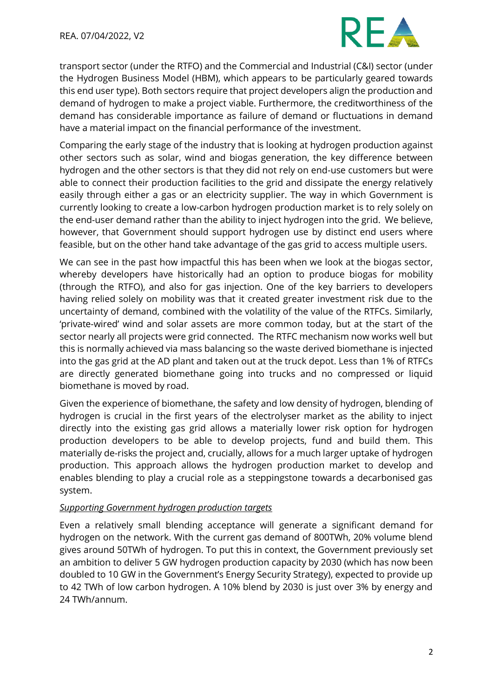

transport sector (under the RTFO) and the Commercial and Industrial (C&I) sector (under the Hydrogen Business Model (HBM), which appears to be particularly geared towards this end user type). Both sectors require that project developers align the production and demand of hydrogen to make a project viable. Furthermore, the creditworthiness of the demand has considerable importance as failure of demand or fluctuations in demand have a material impact on the financial performance of the investment.

Comparing the early stage of the industry that is looking at hydrogen production against other sectors such as solar, wind and biogas generation, the key difference between hydrogen and the other sectors is that they did not rely on end-use customers but were able to connect their production facilities to the grid and dissipate the energy relatively easily through either a gas or an electricity supplier. The way in which Government is currently looking to create a low-carbon hydrogen production market is to rely solely on the end-user demand rather than the ability to inject hydrogen into the grid. We believe, however, that Government should support hydrogen use by distinct end users where feasible, but on the other hand take advantage of the gas grid to access multiple users.

We can see in the past how impactful this has been when we look at the biogas sector, whereby developers have historically had an option to produce biogas for mobility (through the RTFO), and also for gas injection. One of the key barriers to developers having relied solely on mobility was that it created greater investment risk due to the uncertainty of demand, combined with the volatility of the value of the RTFCs. Similarly, 'private-wired' wind and solar assets are more common today, but at the start of the sector nearly all projects were grid connected. The RTFC mechanism now works well but this is normally achieved via mass balancing so the waste derived biomethane is injected into the gas grid at the AD plant and taken out at the truck depot. Less than 1% of RTFCs are directly generated biomethane going into trucks and no compressed or liquid biomethane is moved by road.

Given the experience of biomethane, the safety and low density of hydrogen, blending of hydrogen is crucial in the first years of the electrolyser market as the ability to inject directly into the existing gas grid allows a materially lower risk option for hydrogen production developers to be able to develop projects, fund and build them. This materially de-risks the project and, crucially, allows for a much larger uptake of hydrogen production. This approach allows the hydrogen production market to develop and enables blending to play a crucial role as a steppingstone towards a decarbonised gas system.

#### *Supporting Government hydrogen production targets*

Even a relatively small blending acceptance will generate a significant demand for hydrogen on the network. With the current gas demand of 800TWh, 20% volume blend gives around 50TWh of hydrogen. To put this in context, the Government previously set an ambition to deliver 5 GW hydrogen production capacity by 2030 (which has now been doubled to 10 GW in the Government's Energy Security Strategy), expected to provide up to 42 TWh of low carbon hydrogen. A 10% blend by 2030 is just over 3% by energy and 24 TWh/annum.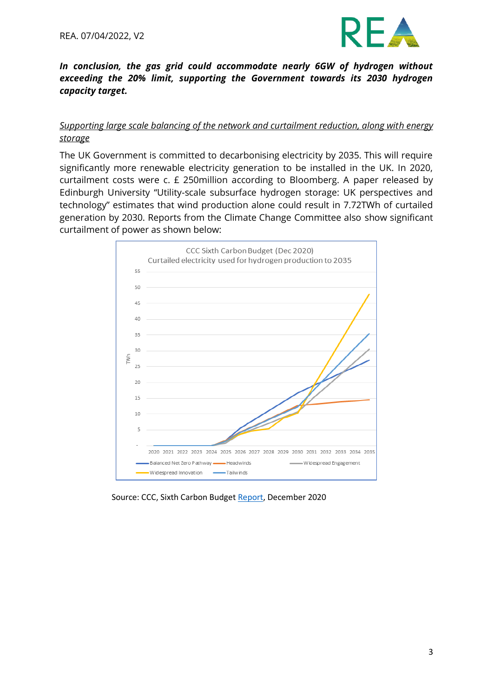

#### *In conclusion, the gas grid could accommodate nearly 6GW of hydrogen without exceeding the 20% limit, supporting the Government towards its 2030 hydrogen capacity target.*

#### *Supporting large scale balancing of the network and curtailment reduction, along with energy storage*

The UK Government is committed to decarbonising electricity by 2035. This will require significantly more renewable electricity generation to be installed in the UK. In 2020, curtailment costs were c. £ 250million according to Bloomberg. A paper released by Edinburgh University "Utility-scale subsurface hydrogen storage: UK perspectives and technology" estimates that wind production alone could result in 7.72TWh of curtailed generation by 2030. Reports from the Climate Change Committee also show significant curtailment of power as shown below:



Source: CCC, Sixth Carbon Budget Report, December 2020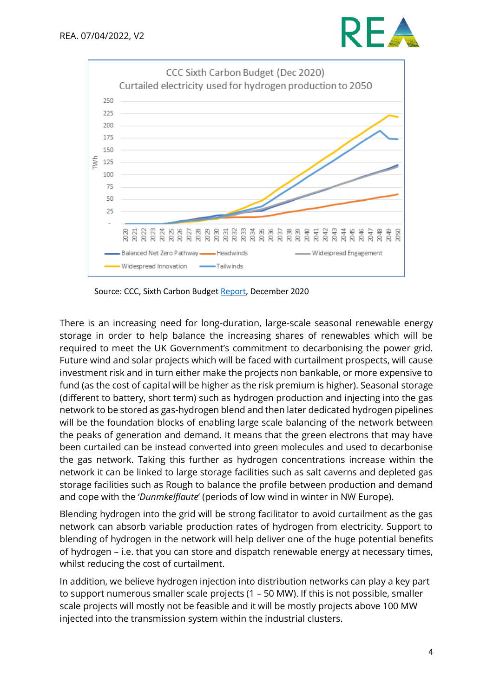



Source: CCC, Sixth Carbon Budget Report, December 2020

There is an increasing need for long-duration, large-scale seasonal renewable energy storage in order to help balance the increasing shares of renewables which will be required to meet the UK Government's commitment to decarbonising the power grid. Future wind and solar projects which will be faced with curtailment prospects, will cause investment risk and in turn either make the projects non bankable, or more expensive to fund (as the cost of capital will be higher as the risk premium is higher). Seasonal storage (different to battery, short term) such as hydrogen production and injecting into the gas network to be stored as gas-hydrogen blend and then later dedicated hydrogen pipelines will be the foundation blocks of enabling large scale balancing of the network between the peaks of generation and demand. It means that the green electrons that may have been curtailed can be instead converted into green molecules and used to decarbonise the gas network. Taking this further as hydrogen concentrations increase within the network it can be linked to large storage facilities such as salt caverns and depleted gas storage facilities such as Rough to balance the profile between production and demand and cope with the '*Dunmkelflaute*' (periods of low wind in winter in NW Europe).

Blending hydrogen into the grid will be strong facilitator to avoid curtailment as the gas network can absorb variable production rates of hydrogen from electricity. Support to blending of hydrogen in the network will help deliver one of the huge potential benefits of hydrogen – i.e. that you can store and dispatch renewable energy at necessary times, whilst reducing the cost of curtailment.

In addition, we believe hydrogen injection into distribution networks can play a key part to support numerous smaller scale projects (1 – 50 MW). If this is not possible, smaller scale projects will mostly not be feasible and it will be mostly projects above 100 MW injected into the transmission system within the industrial clusters.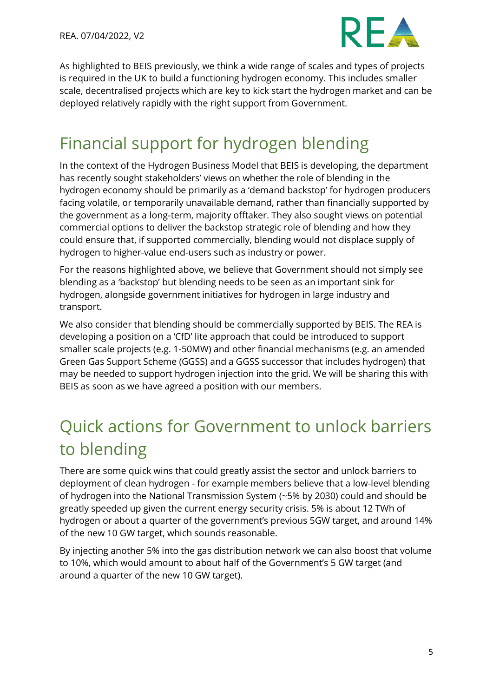

As highlighted to BEIS previously, we think a wide range of scales and types of projects is required in the UK to build a functioning hydrogen economy. This includes smaller scale, decentralised projects which are key to kick start the hydrogen market and can be deployed relatively rapidly with the right support from Government.

## <span id="page-4-0"></span>Financial support for hydrogen blending

In the context of the Hydrogen Business Model that BEIS is developing, the department has recently sought stakeholders' views on whether the role of blending in the hydrogen economy should be primarily as a 'demand backstop' for hydrogen producers facing volatile, or temporarily unavailable demand, rather than financially supported by the government as a long-term, majority offtaker. They also sought views on potential commercial options to deliver the backstop strategic role of blending and how they could ensure that, if supported commercially, blending would not displace supply of hydrogen to higher-value end-users such as industry or power.

For the reasons highlighted above, we believe that Government should not simply see blending as a 'backstop' but blending needs to be seen as an important sink for hydrogen, alongside government initiatives for hydrogen in large industry and transport.

We also consider that blending should be commercially supported by BEIS. The REA is developing a position on a 'CfD' lite approach that could be introduced to support smaller scale projects (e.g. 1-50MW) and other financial mechanisms (e.g. an amended Green Gas Support Scheme (GGSS) and a GGSS successor that includes hydrogen) that may be needed to support hydrogen injection into the grid. We will be sharing this with BEIS as soon as we have agreed a position with our members.

# <span id="page-4-1"></span>Quick actions for Government to unlock barriers to blending

There are some quick wins that could greatly assist the sector and unlock barriers to deployment of clean hydrogen - for example members believe that a low-level blending of hydrogen into the National Transmission System (~5% by 2030) could and should be greatly speeded up given the current energy security crisis. 5% is about 12 TWh of hydrogen or about a quarter of the government's previous 5GW target, and around 14% of the new 10 GW target, which sounds reasonable.

By injecting another 5% into the gas distribution network we can also boost that volume to 10%, which would amount to about half of the Government's 5 GW target (and around a quarter of the new 10 GW target).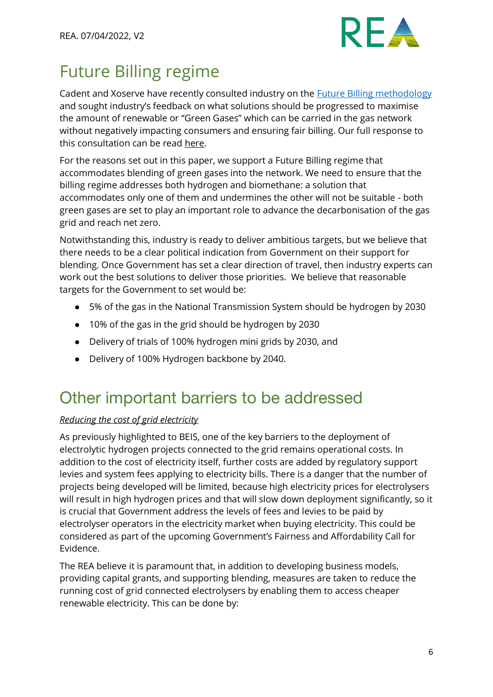

### <span id="page-5-0"></span>Future Billing regime

Cadent and Xoserve have recently consulted industry on the Future [Billing methodology](https://www.xoserve.com/services/future-billing-methodology/) and sought industry's feedback on what solutions should be progressed to maximise the amount of renewable or "Green Gases" which can be carried in the gas network without negatively impacting consumers and ensuring fair billing. Our full response to this consultation can be read [here.](https://www.r-e-a.net/resources/12602/)

For the reasons set out in this paper, we support a Future Billing regime that accommodates blending of green gases into the network. We need to ensure that the billing regime addresses both hydrogen and biomethane: a solution that accommodates only one of them and undermines the other will not be suitable - both green gases are set to play an important role to advance the decarbonisation of the gas grid and reach net zero.

Notwithstanding this, industry is ready to deliver ambitious targets, but we believe that there needs to be a clear political indication from Government on their support for blending. Once Government has set a clear direction of travel, then industry experts can work out the best solutions to deliver those priorities. We believe that reasonable targets for the Government to set would be:

- 5% of the gas in the National Transmission System should be hydrogen by 2030
- 10% of the gas in the grid should be hydrogen by 2030
- Delivery of trials of 100% hydrogen mini grids by 2030, and
- Delivery of 100% Hydrogen backbone by 2040.

### <span id="page-5-1"></span>Other important barriers to be addressed

#### *Reducing the cost of grid electricity*

As previously highlighted to BEIS, one of the key barriers to the deployment of electrolytic hydrogen projects connected to the grid remains operational costs. In addition to the cost of electricity itself, further costs are added by regulatory support levies and system fees applying to electricity bills. There is a danger that the number of projects being developed will be limited, because high electricity prices for electrolysers will result in high hydrogen prices and that will slow down deployment significantly, so it is crucial that Government address the levels of fees and levies to be paid by electrolyser operators in the electricity market when buying electricity. This could be considered as part of the upcoming Government's Fairness and Affordability Call for Evidence.

The REA believe it is paramount that, in addition to developing business models, providing capital grants, and supporting blending, measures are taken to reduce the running cost of grid connected electrolysers by enabling them to access cheaper renewable electricity. This can be done by: